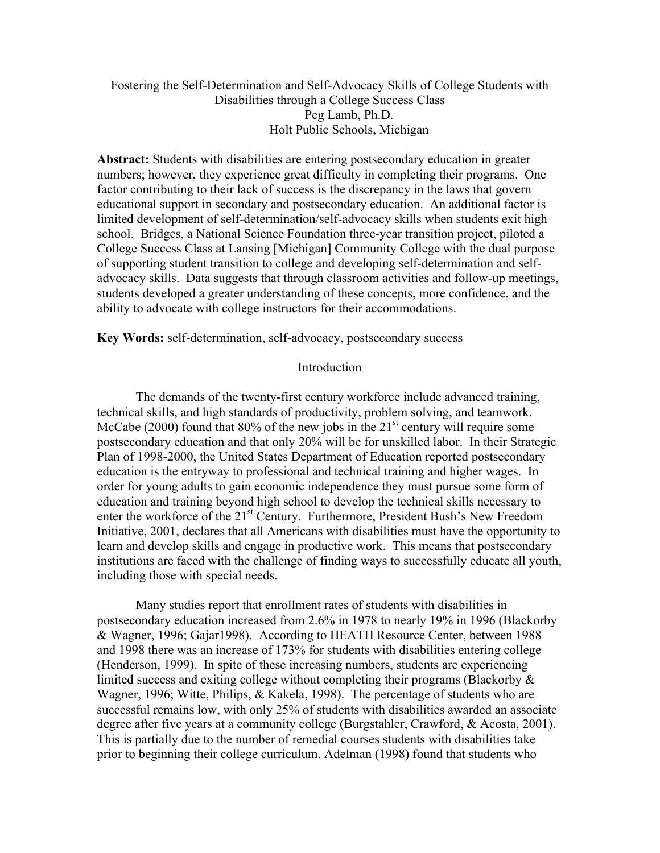## Fostering the Self-Determination and Self-Advocacy Skills of College Students with Disabilities through a College Success Class Peg Lamb, Ph.D. Holt Public Schools, Michigan

**Abstract:** Students with disabilities are entering postsecondary education in greater numbers; however, they experience great difficulty in completing their programs. One factor contributing to their lack of success is the discrepancy in the laws that govern educational support in secondary and postsecondary education. An additional factor is limited development of self-determination/self-advocacy skills when students exit high school. Bridges, a National Science Foundation three-year transition project, piloted a College Success Class at Lansing [Michigan] Community College with the dual purpose of supporting student transition to college and developing self-determination and selfadvocacy skills. Data suggests that through classroom activities and follow-up meetings, students developed a greater understanding of these concepts, more confidence, and the ability to advocate with college instructors for their accommodations.

**Key Words:** self-determination, self-advocacy, postsecondary success

#### Introduction

The demands of the twenty-first century workforce include advanced training, technical skills, and high standards of productivity, problem solving, and teamwork. McCabe (2000) found that  $80\%$  of the new jobs in the  $21<sup>st</sup>$  century will require some postsecondary education and that only 20% will be for unskilled labor. In their Strategic Plan of 1998-2000, the United States Department of Education reported postsecondary education is the entryway to professional and technical training and higher wages. In order for young adults to gain economic independence they must pursue some form of education and training beyond high school to develop the technical skills necessary to enter the workforce of the 21<sup>st</sup> Century. Furthermore, President Bush's New Freedom Initiative, 2001, declares that all Americans with disabilities must have the opportunity to learn and develop skills and engage in productive work. This means that postsecondary institutions are faced with the challenge of finding ways to successfully educate all youth, including those with special needs.

Many studies report that enrollment rates of students with disabilities in postsecondary education increased from 2.6% in 1978 to nearly 19% in 1996 (Blackorby & Wagner, 1996; Gajar1998). According to HEATH Resource Center, between 1988 and 1998 there was an increase of 173% for students with disabilities entering college (Henderson, 1999). In spite of these increasing numbers, students are experiencing limited success and exiting college without completing their programs (Blackorby & Wagner, 1996; Witte, Philips, & Kakela, 1998). The percentage of students who are successful remains low, with only 25% of students with disabilities awarded an associate degree after five years at a community college (Burgstahler, Crawford, & Acosta, 2001). This is partially due to the number of remedial courses students with disabilities take prior to beginning their college curriculum. Adelman (1998) found that students who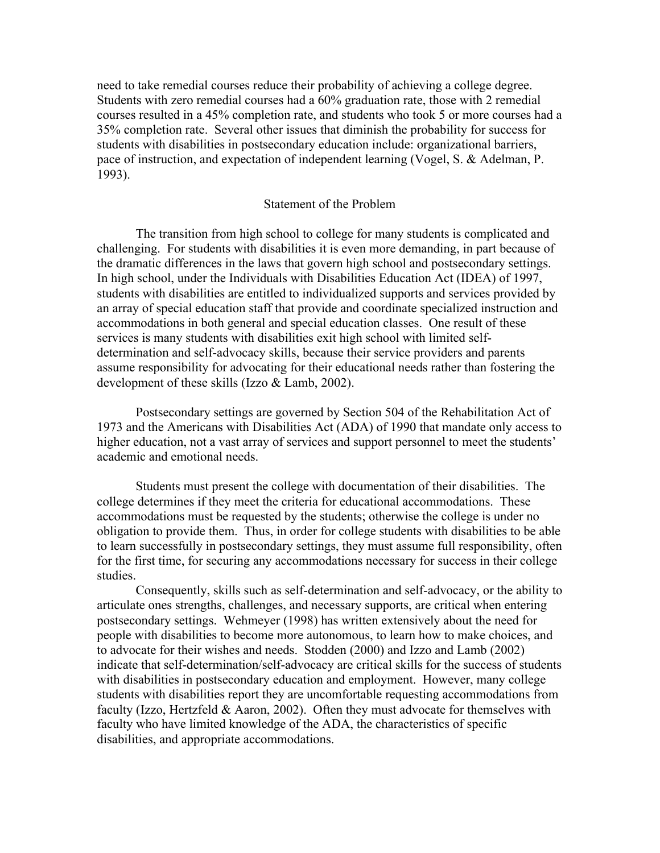need to take remedial courses reduce their probability of achieving a college degree. Students with zero remedial courses had a 60% graduation rate, those with 2 remedial courses resulted in a 45% completion rate, and students who took 5 or more courses had a 35% completion rate. Several other issues that diminish the probability for success for students with disabilities in postsecondary education include: organizational barriers, pace of instruction, and expectation of independent learning (Vogel, S. & Adelman, P. 1993).

## Statement of the Problem

The transition from high school to college for many students is complicated and challenging. For students with disabilities it is even more demanding, in part because of the dramatic differences in the laws that govern high school and postsecondary settings. In high school, under the Individuals with Disabilities Education Act (IDEA) of 1997, students with disabilities are entitled to individualized supports and services provided by an array of special education staff that provide and coordinate specialized instruction and accommodations in both general and special education classes. One result of these services is many students with disabilities exit high school with limited selfdetermination and self-advocacy skills, because their service providers and parents assume responsibility for advocating for their educational needs rather than fostering the development of these skills (Izzo & Lamb, 2002).

Postsecondary settings are governed by Section 504 of the Rehabilitation Act of 1973 and the Americans with Disabilities Act (ADA) of 1990 that mandate only access to higher education, not a vast array of services and support personnel to meet the students' academic and emotional needs.

Students must present the college with documentation of their disabilities. The college determines if they meet the criteria for educational accommodations. These accommodations must be requested by the students; otherwise the college is under no obligation to provide them. Thus, in order for college students with disabilities to be able to learn successfully in postsecondary settings, they must assume full responsibility, often for the first time, for securing any accommodations necessary for success in their college studies.

Consequently, skills such as self-determination and self-advocacy, or the ability to articulate ones strengths, challenges, and necessary supports, are critical when entering postsecondary settings. Wehmeyer (1998) has written extensively about the need for people with disabilities to become more autonomous, to learn how to make choices, and to advocate for their wishes and needs. Stodden (2000) and Izzo and Lamb (2002) indicate that self-determination/self-advocacy are critical skills for the success of students with disabilities in postsecondary education and employment. However, many college students with disabilities report they are uncomfortable requesting accommodations from faculty (Izzo, Hertzfeld & Aaron, 2002). Often they must advocate for themselves with faculty who have limited knowledge of the ADA, the characteristics of specific disabilities, and appropriate accommodations.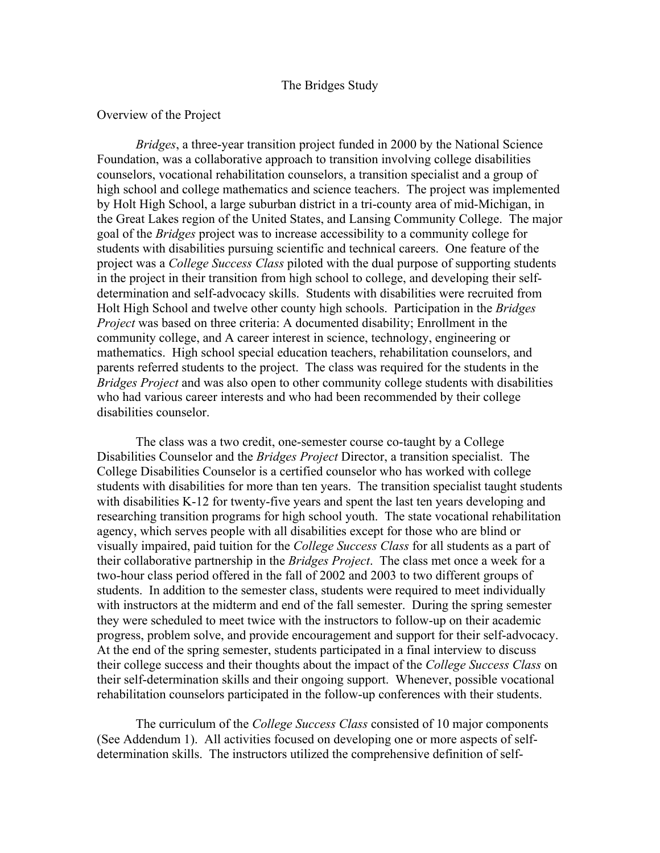### The Bridges Study

#### Overview of the Project

*Bridges*, a three-year transition project funded in 2000 by the National Science Foundation, was a collaborative approach to transition involving college disabilities counselors, vocational rehabilitation counselors, a transition specialist and a group of high school and college mathematics and science teachers. The project was implemented by Holt High School, a large suburban district in a tri-county area of mid-Michigan, in the Great Lakes region of the United States, and Lansing Community College. The major goal of the *Bridges* project was to increase accessibility to a community college for students with disabilities pursuing scientific and technical careers. One feature of the project was a *College Success Class* piloted with the dual purpose of supporting students in the project in their transition from high school to college, and developing their selfdetermination and self-advocacy skills. Students with disabilities were recruited from Holt High School and twelve other county high schools. Participation in the *Bridges Project* was based on three criteria: A documented disability; Enrollment in the community college, and A career interest in science, technology, engineering or mathematics. High school special education teachers, rehabilitation counselors, and parents referred students to the project. The class was required for the students in the *Bridges Project* and was also open to other community college students with disabilities who had various career interests and who had been recommended by their college disabilities counselor.

The class was a two credit, one-semester course co-taught by a College Disabilities Counselor and the *Bridges Project* Director, a transition specialist. The College Disabilities Counselor is a certified counselor who has worked with college students with disabilities for more than ten years. The transition specialist taught students with disabilities K-12 for twenty-five years and spent the last ten years developing and researching transition programs for high school youth. The state vocational rehabilitation agency, which serves people with all disabilities except for those who are blind or visually impaired, paid tuition for the *College Success Class* for all students as a part of their collaborative partnership in the *Bridges Project*. The class met once a week for a two-hour class period offered in the fall of 2002 and 2003 to two different groups of students. In addition to the semester class, students were required to meet individually with instructors at the midterm and end of the fall semester. During the spring semester they were scheduled to meet twice with the instructors to follow-up on their academic progress, problem solve, and provide encouragement and support for their self-advocacy. At the end of the spring semester, students participated in a final interview to discuss their college success and their thoughts about the impact of the *College Success Class* on their self-determination skills and their ongoing support. Whenever, possible vocational rehabilitation counselors participated in the follow-up conferences with their students.

The curriculum of the *College Success Class* consisted of 10 major components (See Addendum 1). All activities focused on developing one or more aspects of selfdetermination skills. The instructors utilized the comprehensive definition of self-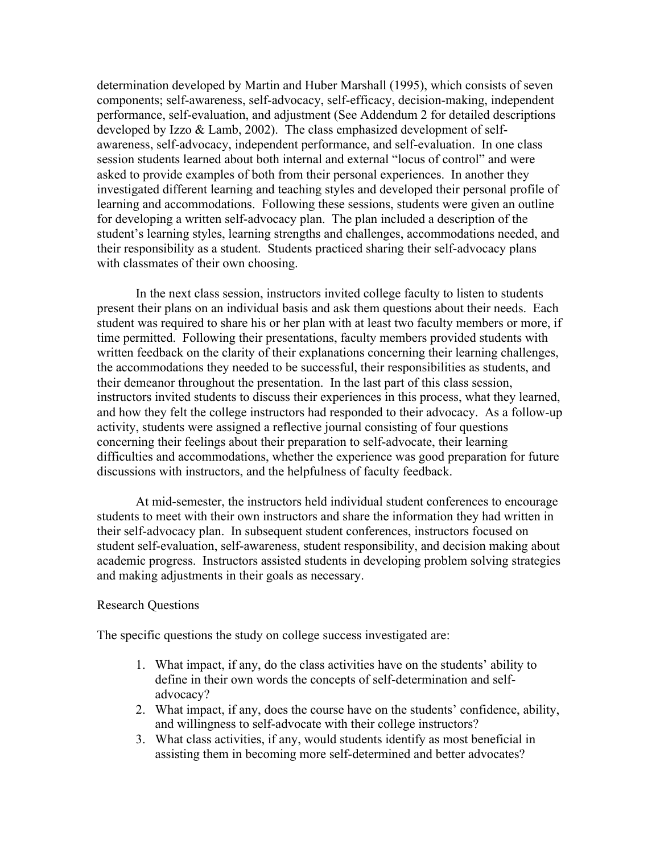determination developed by Martin and Huber Marshall (1995), which consists of seven components; self-awareness, self-advocacy, self-efficacy, decision-making, independent performance, self-evaluation, and adjustment (See Addendum 2 for detailed descriptions developed by Izzo & Lamb, 2002). The class emphasized development of selfawareness, self-advocacy, independent performance, and self-evaluation. In one class session students learned about both internal and external "locus of control" and were asked to provide examples of both from their personal experiences. In another they investigated different learning and teaching styles and developed their personal profile of learning and accommodations. Following these sessions, students were given an outline for developing a written self-advocacy plan. The plan included a description of the student's learning styles, learning strengths and challenges, accommodations needed, and their responsibility as a student. Students practiced sharing their self-advocacy plans with classmates of their own choosing.

In the next class session, instructors invited college faculty to listen to students present their plans on an individual basis and ask them questions about their needs. Each student was required to share his or her plan with at least two faculty members or more, if time permitted. Following their presentations, faculty members provided students with written feedback on the clarity of their explanations concerning their learning challenges, the accommodations they needed to be successful, their responsibilities as students, and their demeanor throughout the presentation. In the last part of this class session, instructors invited students to discuss their experiences in this process, what they learned, and how they felt the college instructors had responded to their advocacy. As a follow-up activity, students were assigned a reflective journal consisting of four questions concerning their feelings about their preparation to self-advocate, their learning difficulties and accommodations, whether the experience was good preparation for future discussions with instructors, and the helpfulness of faculty feedback.

At mid-semester, the instructors held individual student conferences to encourage students to meet with their own instructors and share the information they had written in their self-advocacy plan. In subsequent student conferences, instructors focused on student self-evaluation, self-awareness, student responsibility, and decision making about academic progress. Instructors assisted students in developing problem solving strategies and making adjustments in their goals as necessary.

#### Research Questions

The specific questions the study on college success investigated are:

- 1. What impact, if any, do the class activities have on the students' ability to define in their own words the concepts of self-determination and selfadvocacy?
- 2. What impact, if any, does the course have on the students' confidence, ability, and willingness to self-advocate with their college instructors?
- 3. What class activities, if any, would students identify as most beneficial in assisting them in becoming more self-determined and better advocates?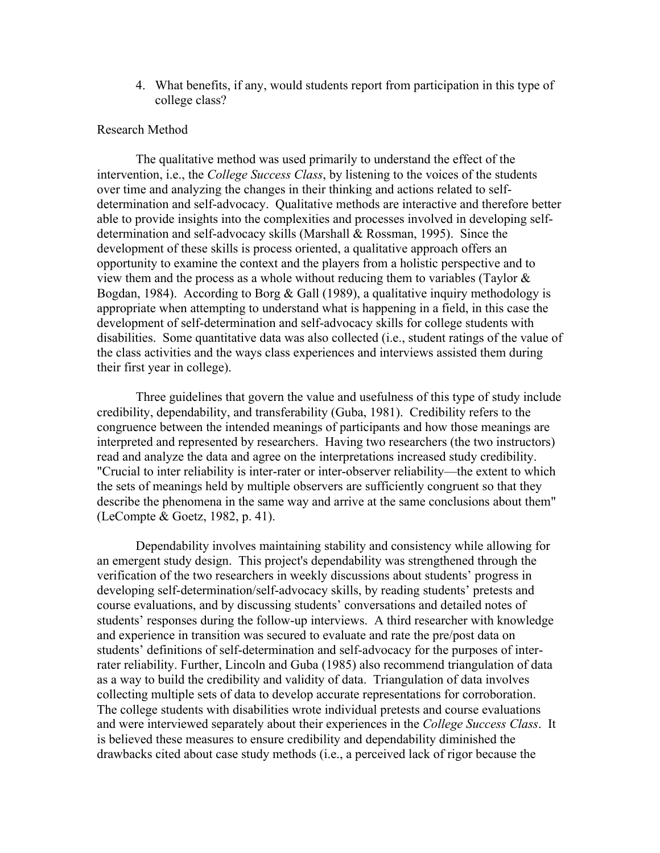4. What benefits, if any, would students report from participation in this type of college class?

## Research Method

The qualitative method was used primarily to understand the effect of the intervention, i.e., the *College Success Class*, by listening to the voices of the students over time and analyzing the changes in their thinking and actions related to selfdetermination and self-advocacy. Qualitative methods are interactive and therefore better able to provide insights into the complexities and processes involved in developing selfdetermination and self-advocacy skills (Marshall & Rossman, 1995). Since the development of these skills is process oriented, a qualitative approach offers an opportunity to examine the context and the players from a holistic perspective and to view them and the process as a whole without reducing them to variables (Taylor  $\&$ Bogdan, 1984). According to Borg & Gall (1989), a qualitative inquiry methodology is appropriate when attempting to understand what is happening in a field, in this case the development of self-determination and self-advocacy skills for college students with disabilities. Some quantitative data was also collected (i.e., student ratings of the value of the class activities and the ways class experiences and interviews assisted them during their first year in college).

Three guidelines that govern the value and usefulness of this type of study include credibility, dependability, and transferability (Guba, 1981). Credibility refers to the congruence between the intended meanings of participants and how those meanings are interpreted and represented by researchers. Having two researchers (the two instructors) read and analyze the data and agree on the interpretations increased study credibility. "Crucial to inter reliability is inter-rater or inter-observer reliability—the extent to which the sets of meanings held by multiple observers are sufficiently congruent so that they describe the phenomena in the same way and arrive at the same conclusions about them" (LeCompte & Goetz, 1982, p. 41).

Dependability involves maintaining stability and consistency while allowing for an emergent study design. This project's dependability was strengthened through the verification of the two researchers in weekly discussions about students' progress in developing self-determination/self-advocacy skills, by reading students' pretests and course evaluations, and by discussing students' conversations and detailed notes of students' responses during the follow-up interviews. A third researcher with knowledge and experience in transition was secured to evaluate and rate the pre/post data on students' definitions of self-determination and self-advocacy for the purposes of interrater reliability. Further, Lincoln and Guba (1985) also recommend triangulation of data as a way to build the credibility and validity of data. Triangulation of data involves collecting multiple sets of data to develop accurate representations for corroboration. The college students with disabilities wrote individual pretests and course evaluations and were interviewed separately about their experiences in the *College Success Class*. It is believed these measures to ensure credibility and dependability diminished the drawbacks cited about case study methods (i.e., a perceived lack of rigor because the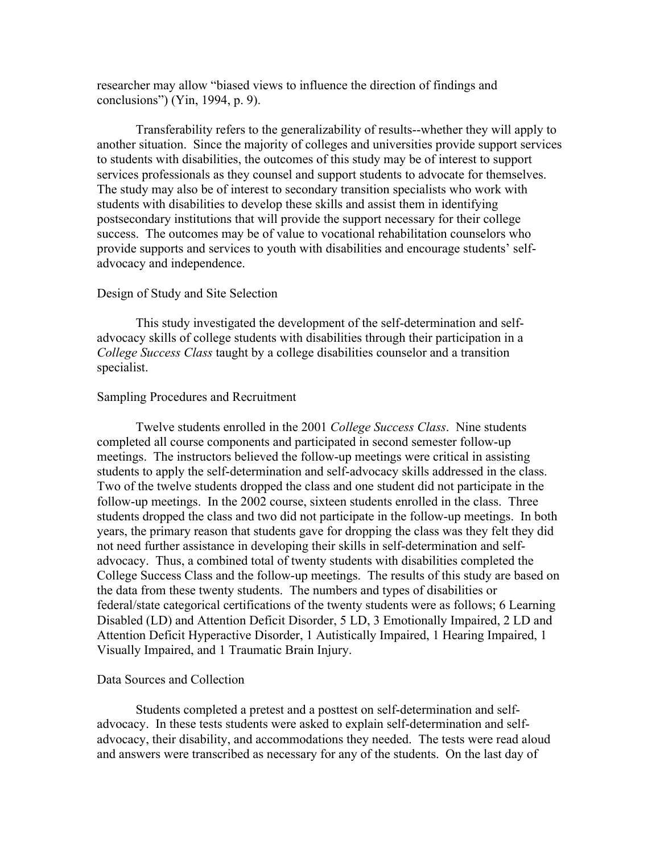researcher may allow "biased views to influence the direction of findings and conclusions") (Yin, 1994, p. 9).

Transferability refers to the generalizability of results--whether they will apply to another situation. Since the majority of colleges and universities provide support services to students with disabilities, the outcomes of this study may be of interest to support services professionals as they counsel and support students to advocate for themselves. The study may also be of interest to secondary transition specialists who work with students with disabilities to develop these skills and assist them in identifying postsecondary institutions that will provide the support necessary for their college success. The outcomes may be of value to vocational rehabilitation counselors who provide supports and services to youth with disabilities and encourage students' selfadvocacy and independence.

#### Design of Study and Site Selection

This study investigated the development of the self-determination and selfadvocacy skills of college students with disabilities through their participation in a *College Success Class* taught by a college disabilities counselor and a transition specialist.

#### Sampling Procedures and Recruitment

Twelve students enrolled in the 2001 *College Success Class*. Nine students completed all course components and participated in second semester follow-up meetings. The instructors believed the follow-up meetings were critical in assisting students to apply the self-determination and self-advocacy skills addressed in the class. Two of the twelve students dropped the class and one student did not participate in the follow-up meetings. In the 2002 course, sixteen students enrolled in the class. Three students dropped the class and two did not participate in the follow-up meetings. In both years, the primary reason that students gave for dropping the class was they felt they did not need further assistance in developing their skills in self-determination and selfadvocacy. Thus, a combined total of twenty students with disabilities completed the College Success Class and the follow-up meetings. The results of this study are based on the data from these twenty students. The numbers and types of disabilities or federal/state categorical certifications of the twenty students were as follows; 6 Learning Disabled (LD) and Attention Deficit Disorder, 5 LD, 3 Emotionally Impaired, 2 LD and Attention Deficit Hyperactive Disorder, 1 Autistically Impaired, 1 Hearing Impaired, 1 Visually Impaired, and 1 Traumatic Brain Injury.

#### Data Sources and Collection

Students completed a pretest and a posttest on self-determination and selfadvocacy. In these tests students were asked to explain self-determination and selfadvocacy, their disability, and accommodations they needed. The tests were read aloud and answers were transcribed as necessary for any of the students. On the last day of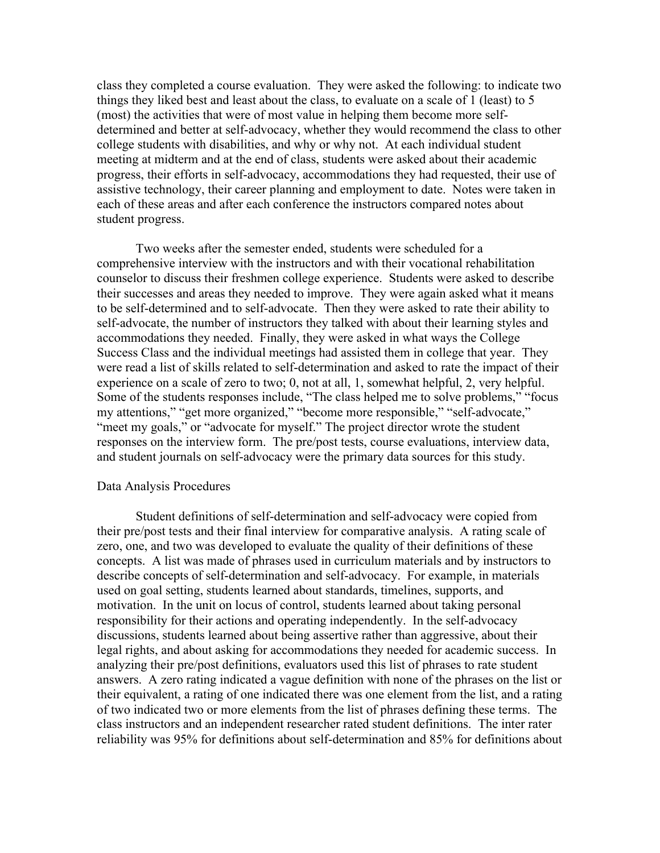class they completed a course evaluation. They were asked the following: to indicate two things they liked best and least about the class, to evaluate on a scale of 1 (least) to 5 (most) the activities that were of most value in helping them become more selfdetermined and better at self-advocacy, whether they would recommend the class to other college students with disabilities, and why or why not. At each individual student meeting at midterm and at the end of class, students were asked about their academic progress, their efforts in self-advocacy, accommodations they had requested, their use of assistive technology, their career planning and employment to date. Notes were taken in each of these areas and after each conference the instructors compared notes about student progress.

Two weeks after the semester ended, students were scheduled for a comprehensive interview with the instructors and with their vocational rehabilitation counselor to discuss their freshmen college experience. Students were asked to describe their successes and areas they needed to improve. They were again asked what it means to be self-determined and to self-advocate. Then they were asked to rate their ability to self-advocate, the number of instructors they talked with about their learning styles and accommodations they needed. Finally, they were asked in what ways the College Success Class and the individual meetings had assisted them in college that year. They were read a list of skills related to self-determination and asked to rate the impact of their experience on a scale of zero to two; 0, not at all, 1, somewhat helpful, 2, very helpful. Some of the students responses include, "The class helped me to solve problems," "focus my attentions," "get more organized," "become more responsible," "self-advocate," "meet my goals," or "advocate for myself." The project director wrote the student responses on the interview form. The pre/post tests, course evaluations, interview data, and student journals on self-advocacy were the primary data sources for this study.

#### Data Analysis Procedures

Student definitions of self-determination and self-advocacy were copied from their pre/post tests and their final interview for comparative analysis. A rating scale of zero, one, and two was developed to evaluate the quality of their definitions of these concepts. A list was made of phrases used in curriculum materials and by instructors to describe concepts of self-determination and self-advocacy. For example, in materials used on goal setting, students learned about standards, timelines, supports, and motivation. In the unit on locus of control, students learned about taking personal responsibility for their actions and operating independently. In the self-advocacy discussions, students learned about being assertive rather than aggressive, about their legal rights, and about asking for accommodations they needed for academic success. In analyzing their pre/post definitions, evaluators used this list of phrases to rate student answers. A zero rating indicated a vague definition with none of the phrases on the list or their equivalent, a rating of one indicated there was one element from the list, and a rating of two indicated two or more elements from the list of phrases defining these terms. The class instructors and an independent researcher rated student definitions. The inter rater reliability was 95% for definitions about self-determination and 85% for definitions about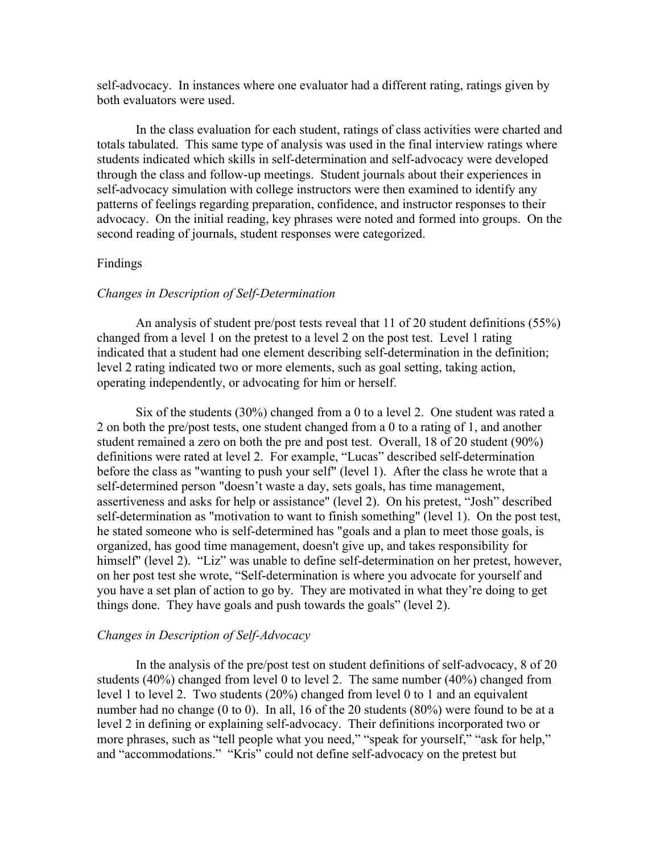self-advocacy. In instances where one evaluator had a different rating, ratings given by both evaluators were used.

In the class evaluation for each student, ratings of class activities were charted and totals tabulated. This same type of analysis was used in the final interview ratings where students indicated which skills in self-determination and self-advocacy were developed through the class and follow-up meetings. Student journals about their experiences in self-advocacy simulation with college instructors were then examined to identify any patterns of feelings regarding preparation, confidence, and instructor responses to their advocacy. On the initial reading, key phrases were noted and formed into groups. On the second reading of journals, student responses were categorized.

## Findings

### *Changes in Description of Self-Determination*

An analysis of student pre/post tests reveal that 11 of 20 student definitions (55%) changed from a level 1 on the pretest to a level 2 on the post test. Level 1 rating indicated that a student had one element describing self-determination in the definition; level 2 rating indicated two or more elements, such as goal setting, taking action, operating independently, or advocating for him or herself.

Six of the students (30%) changed from a 0 to a level 2. One student was rated a 2 on both the pre/post tests, one student changed from a 0 to a rating of 1, and another student remained a zero on both the pre and post test. Overall, 18 of 20 student (90%) definitions were rated at level 2. For example, "Lucas" described self-determination before the class as "wanting to push your self" (level 1). After the class he wrote that a self-determined person "doesn't waste a day, sets goals, has time management, assertiveness and asks for help or assistance" (level 2). On his pretest, "Josh" described self-determination as "motivation to want to finish something" (level 1). On the post test, he stated someone who is self-determined has "goals and a plan to meet those goals, is organized, has good time management, doesn't give up, and takes responsibility for himself" (level 2). "Liz" was unable to define self-determination on her pretest, however, on her post test she wrote, "Self-determination is where you advocate for yourself and you have a set plan of action to go by. They are motivated in what they're doing to get things done. They have goals and push towards the goals" (level 2).

#### *Changes in Description of Self-Advocacy*

In the analysis of the pre/post test on student definitions of self-advocacy, 8 of 20 students (40%) changed from level 0 to level 2. The same number (40%) changed from level 1 to level 2. Two students (20%) changed from level 0 to 1 and an equivalent number had no change (0 to 0). In all, 16 of the 20 students (80%) were found to be at a level 2 in defining or explaining self-advocacy. Their definitions incorporated two or more phrases, such as "tell people what you need," "speak for yourself," "ask for help," and "accommodations." "Kris" could not define self-advocacy on the pretest but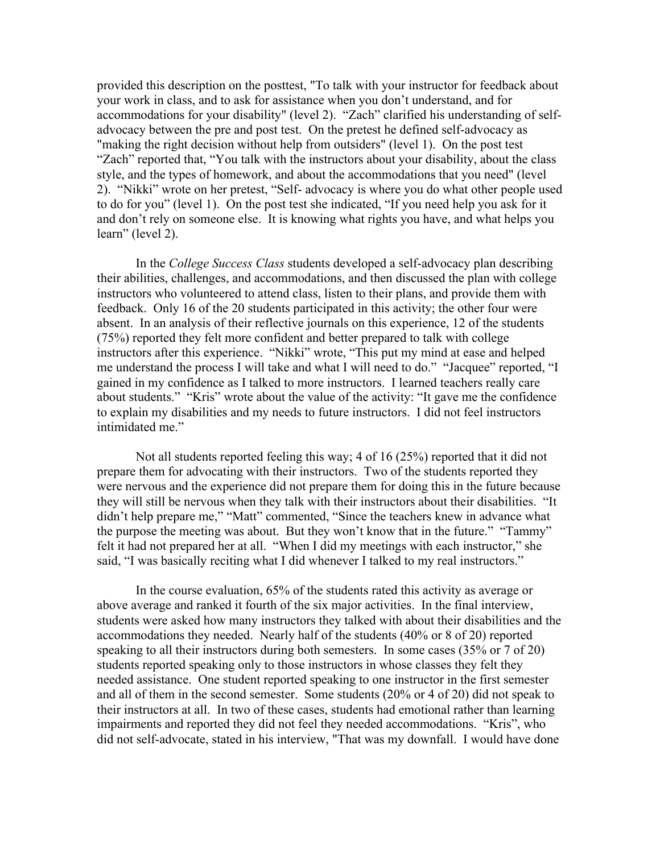provided this description on the posttest, "To talk with your instructor for feedback about your work in class, and to ask for assistance when you don't understand, and for accommodations for your disability" (level 2). "Zach" clarified his understanding of selfadvocacy between the pre and post test. On the pretest he defined self-advocacy as "making the right decision without help from outsiders" (level 1). On the post test "Zach" reported that, "You talk with the instructors about your disability, about the class style, and the types of homework, and about the accommodations that you need" (level 2). "Nikki" wrote on her pretest, "Self- advocacy is where you do what other people used to do for you" (level 1). On the post test she indicated, "If you need help you ask for it and don't rely on someone else. It is knowing what rights you have, and what helps you learn" (level 2).

In the *College Success Class* students developed a self-advocacy plan describing their abilities, challenges, and accommodations, and then discussed the plan with college instructors who volunteered to attend class, listen to their plans, and provide them with feedback. Only 16 of the 20 students participated in this activity; the other four were absent. In an analysis of their reflective journals on this experience, 12 of the students (75%) reported they felt more confident and better prepared to talk with college instructors after this experience. "Nikki" wrote, "This put my mind at ease and helped me understand the process I will take and what I will need to do." "Jacquee" reported, "I gained in my confidence as I talked to more instructors. I learned teachers really care about students." "Kris" wrote about the value of the activity: "It gave me the confidence to explain my disabilities and my needs to future instructors. I did not feel instructors intimidated me."

Not all students reported feeling this way; 4 of 16 (25%) reported that it did not prepare them for advocating with their instructors. Two of the students reported they were nervous and the experience did not prepare them for doing this in the future because they will still be nervous when they talk with their instructors about their disabilities. "It didn't help prepare me," "Matt" commented, "Since the teachers knew in advance what the purpose the meeting was about. But they won't know that in the future." "Tammy" felt it had not prepared her at all. "When I did my meetings with each instructor," she said, "I was basically reciting what I did whenever I talked to my real instructors."

In the course evaluation, 65% of the students rated this activity as average or above average and ranked it fourth of the six major activities. In the final interview, students were asked how many instructors they talked with about their disabilities and the accommodations they needed. Nearly half of the students (40% or 8 of 20) reported speaking to all their instructors during both semesters. In some cases (35% or 7 of 20) students reported speaking only to those instructors in whose classes they felt they needed assistance. One student reported speaking to one instructor in the first semester and all of them in the second semester. Some students (20% or 4 of 20) did not speak to their instructors at all. In two of these cases, students had emotional rather than learning impairments and reported they did not feel they needed accommodations. "Kris", who did not self-advocate, stated in his interview, "That was my downfall. I would have done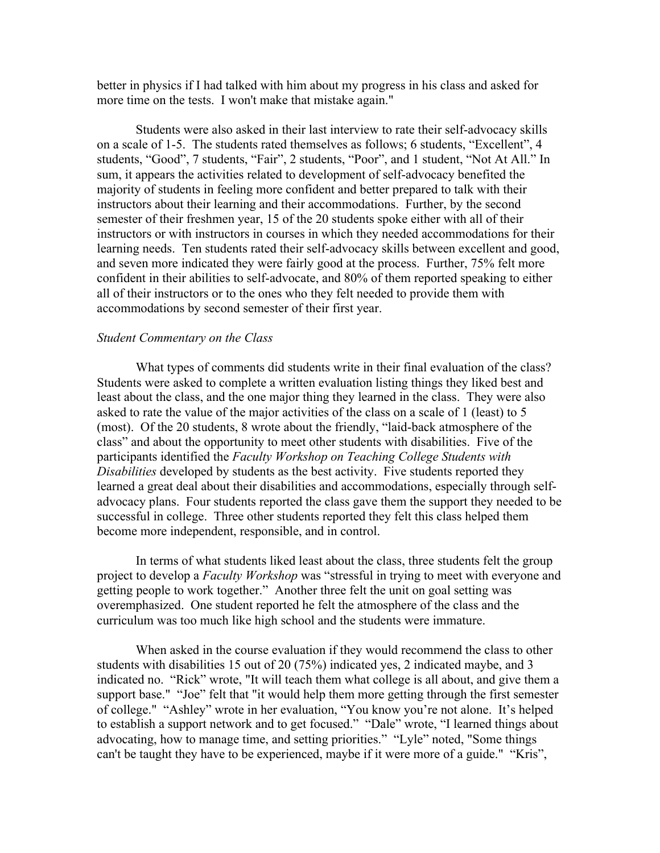better in physics if I had talked with him about my progress in his class and asked for more time on the tests. I won't make that mistake again."

Students were also asked in their last interview to rate their self-advocacy skills on a scale of 1-5. The students rated themselves as follows; 6 students, "Excellent", 4 students, "Good", 7 students, "Fair", 2 students, "Poor", and 1 student, "Not At All." In sum, it appears the activities related to development of self-advocacy benefited the majority of students in feeling more confident and better prepared to talk with their instructors about their learning and their accommodations. Further, by the second semester of their freshmen year, 15 of the 20 students spoke either with all of their instructors or with instructors in courses in which they needed accommodations for their learning needs. Ten students rated their self-advocacy skills between excellent and good, and seven more indicated they were fairly good at the process. Further, 75% felt more confident in their abilities to self-advocate, and 80% of them reported speaking to either all of their instructors or to the ones who they felt needed to provide them with accommodations by second semester of their first year.

### *Student Commentary on the Class*

What types of comments did students write in their final evaluation of the class? Students were asked to complete a written evaluation listing things they liked best and least about the class, and the one major thing they learned in the class. They were also asked to rate the value of the major activities of the class on a scale of 1 (least) to 5 (most). Of the 20 students, 8 wrote about the friendly, "laid-back atmosphere of the class" and about the opportunity to meet other students with disabilities. Five of the participants identified the *Faculty Workshop on Teaching College Students with Disabilities* developed by students as the best activity. Five students reported they learned a great deal about their disabilities and accommodations, especially through selfadvocacy plans. Four students reported the class gave them the support they needed to be successful in college. Three other students reported they felt this class helped them become more independent, responsible, and in control.

In terms of what students liked least about the class, three students felt the group project to develop a *Faculty Workshop* was "stressful in trying to meet with everyone and getting people to work together." Another three felt the unit on goal setting was overemphasized. One student reported he felt the atmosphere of the class and the curriculum was too much like high school and the students were immature.

When asked in the course evaluation if they would recommend the class to other students with disabilities 15 out of 20 (75%) indicated yes, 2 indicated maybe, and 3 indicated no. "Rick" wrote, "It will teach them what college is all about, and give them a support base." "Joe" felt that "it would help them more getting through the first semester of college." "Ashley" wrote in her evaluation, "You know you're not alone. It's helped to establish a support network and to get focused." "Dale" wrote, "I learned things about advocating, how to manage time, and setting priorities." "Lyle" noted, "Some things can't be taught they have to be experienced, maybe if it were more of a guide." "Kris",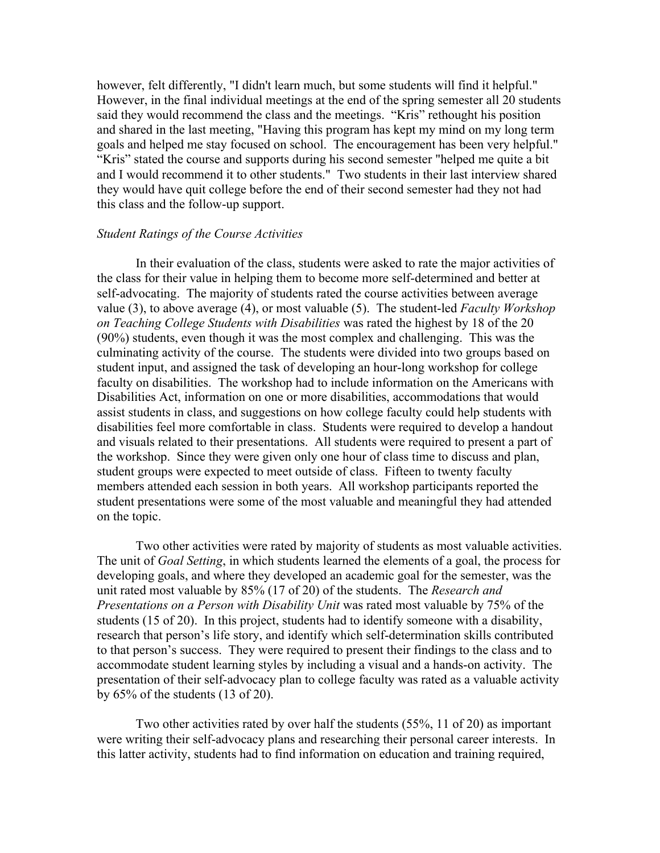however, felt differently, "I didn't learn much, but some students will find it helpful." However, in the final individual meetings at the end of the spring semester all 20 students said they would recommend the class and the meetings. "Kris" rethought his position and shared in the last meeting, "Having this program has kept my mind on my long term goals and helped me stay focused on school. The encouragement has been very helpful." "Kris" stated the course and supports during his second semester "helped me quite a bit and I would recommend it to other students." Two students in their last interview shared they would have quit college before the end of their second semester had they not had this class and the follow-up support.

## *Student Ratings of the Course Activities*

In their evaluation of the class, students were asked to rate the major activities of the class for their value in helping them to become more self-determined and better at self-advocating. The majority of students rated the course activities between average value (3), to above average (4), or most valuable (5). The student-led *Faculty Workshop on Teaching College Students with Disabilities* was rated the highest by 18 of the 20 (90%) students, even though it was the most complex and challenging. This was the culminating activity of the course. The students were divided into two groups based on student input, and assigned the task of developing an hour-long workshop for college faculty on disabilities. The workshop had to include information on the Americans with Disabilities Act, information on one or more disabilities, accommodations that would assist students in class, and suggestions on how college faculty could help students with disabilities feel more comfortable in class. Students were required to develop a handout and visuals related to their presentations. All students were required to present a part of the workshop. Since they were given only one hour of class time to discuss and plan, student groups were expected to meet outside of class. Fifteen to twenty faculty members attended each session in both years. All workshop participants reported the student presentations were some of the most valuable and meaningful they had attended on the topic.

Two other activities were rated by majority of students as most valuable activities. The unit of *Goal Setting*, in which students learned the elements of a goal, the process for developing goals, and where they developed an academic goal for the semester, was the unit rated most valuable by 85% (17 of 20) of the students. The *Research and Presentations on a Person with Disability Unit* was rated most valuable by 75% of the students (15 of 20). In this project, students had to identify someone with a disability, research that person's life story, and identify which self-determination skills contributed to that person's success. They were required to present their findings to the class and to accommodate student learning styles by including a visual and a hands-on activity. The presentation of their self-advocacy plan to college faculty was rated as a valuable activity by 65% of the students (13 of 20).

Two other activities rated by over half the students (55%, 11 of 20) as important were writing their self-advocacy plans and researching their personal career interests. In this latter activity, students had to find information on education and training required,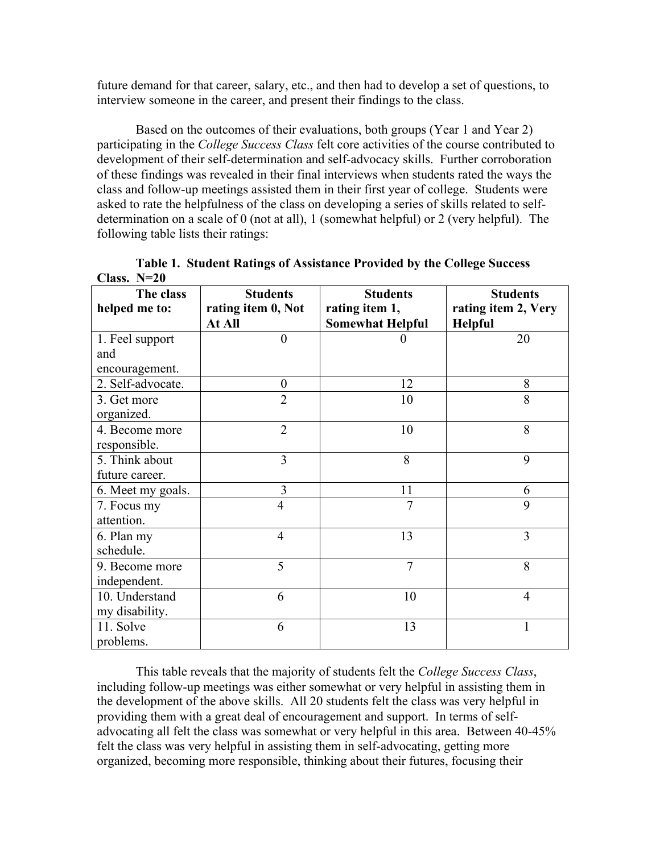future demand for that career, salary, etc., and then had to develop a set of questions, to interview someone in the career, and present their findings to the class.

Based on the outcomes of their evaluations, both groups (Year 1 and Year 2) participating in the *College Success Class* felt core activities of the course contributed to development of their self-determination and self-advocacy skills. Further corroboration of these findings was revealed in their final interviews when students rated the ways the class and follow-up meetings assisted them in their first year of college. Students were asked to rate the helpfulness of the class on developing a series of skills related to selfdetermination on a scale of 0 (not at all), 1 (somewhat helpful) or 2 (very helpful). The following table lists their ratings:

| Спаээ. 11 до      |                    |                         |                     |
|-------------------|--------------------|-------------------------|---------------------|
| The class         | <b>Students</b>    | <b>Students</b>         | <b>Students</b>     |
| helped me to:     | rating item 0, Not | rating item 1,          | rating item 2, Very |
|                   | At All             | <b>Somewhat Helpful</b> | <b>Helpful</b>      |
| 1. Feel support   | $\boldsymbol{0}$   |                         | 20                  |
| and               |                    |                         |                     |
| encouragement.    |                    |                         |                     |
| 2. Self-advocate. | $\overline{0}$     | 12                      | 8                   |
| 3. Get more       | $\overline{2}$     | 10                      | 8                   |
| organized.        |                    |                         |                     |
| 4. Become more    | $\overline{2}$     | 10                      | 8                   |
| responsible.      |                    |                         |                     |
| 5. Think about    | 3                  | 8                       | 9                   |
| future career.    |                    |                         |                     |
| 6. Meet my goals. | 3                  | 11                      | 6                   |
| 7. Focus my       | 4                  | 7                       | 9                   |
| attention.        |                    |                         |                     |
| 6. Plan my        | $\overline{4}$     | 13                      | $\overline{3}$      |
| schedule.         |                    |                         |                     |
| 9. Become more    | 5                  | $\overline{7}$          | 8                   |
| independent.      |                    |                         |                     |
| 10. Understand    | 6                  | 10                      | $\overline{4}$      |
| my disability.    |                    |                         |                     |
| 11. Solve         | 6                  | 13                      | 1                   |
| problems.         |                    |                         |                     |

|               | Table 1. Student Ratings of Assistance Provided by the College Success |
|---------------|------------------------------------------------------------------------|
| Class. $N=20$ |                                                                        |

This table reveals that the majority of students felt the *College Success Class*, including follow-up meetings was either somewhat or very helpful in assisting them in the development of the above skills. All 20 students felt the class was very helpful in providing them with a great deal of encouragement and support. In terms of selfadvocating all felt the class was somewhat or very helpful in this area. Between 40-45% felt the class was very helpful in assisting them in self-advocating, getting more organized, becoming more responsible, thinking about their futures, focusing their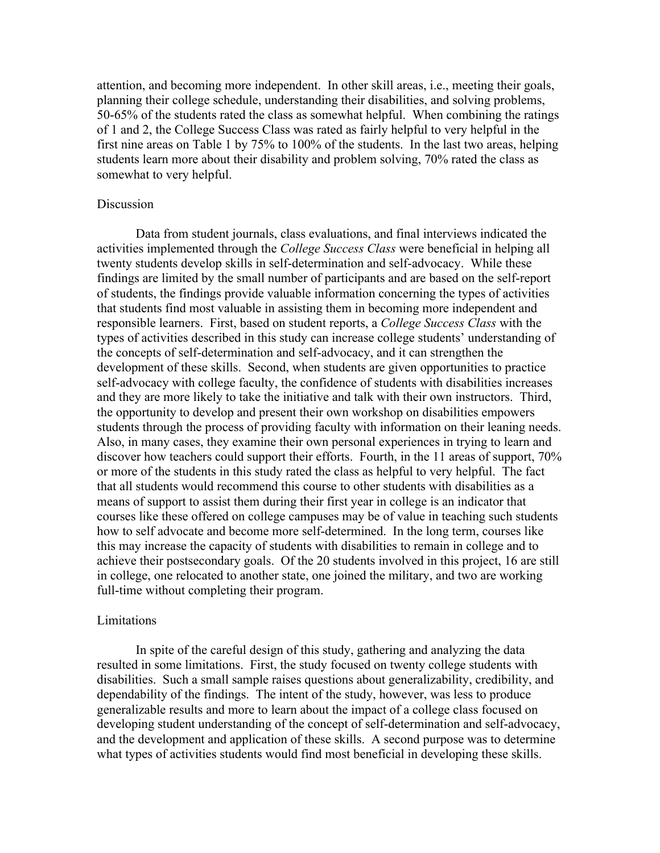attention, and becoming more independent. In other skill areas, i.e., meeting their goals, planning their college schedule, understanding their disabilities, and solving problems, 50-65% of the students rated the class as somewhat helpful. When combining the ratings of 1 and 2, the College Success Class was rated as fairly helpful to very helpful in the first nine areas on Table 1 by 75% to 100% of the students. In the last two areas, helping students learn more about their disability and problem solving, 70% rated the class as somewhat to very helpful.

## Discussion

Data from student journals, class evaluations, and final interviews indicated the activities implemented through the *College Success Class* were beneficial in helping all twenty students develop skills in self-determination and self-advocacy. While these findings are limited by the small number of participants and are based on the self-report of students, the findings provide valuable information concerning the types of activities that students find most valuable in assisting them in becoming more independent and responsible learners. First, based on student reports, a *College Success Class* with the types of activities described in this study can increase college students' understanding of the concepts of self-determination and self-advocacy, and it can strengthen the development of these skills. Second, when students are given opportunities to practice self-advocacy with college faculty, the confidence of students with disabilities increases and they are more likely to take the initiative and talk with their own instructors. Third, the opportunity to develop and present their own workshop on disabilities empowers students through the process of providing faculty with information on their leaning needs. Also, in many cases, they examine their own personal experiences in trying to learn and discover how teachers could support their efforts. Fourth, in the 11 areas of support, 70% or more of the students in this study rated the class as helpful to very helpful. The fact that all students would recommend this course to other students with disabilities as a means of support to assist them during their first year in college is an indicator that courses like these offered on college campuses may be of value in teaching such students how to self advocate and become more self-determined. In the long term, courses like this may increase the capacity of students with disabilities to remain in college and to achieve their postsecondary goals. Of the 20 students involved in this project, 16 are still in college, one relocated to another state, one joined the military, and two are working full-time without completing their program.

#### Limitations

In spite of the careful design of this study, gathering and analyzing the data resulted in some limitations. First, the study focused on twenty college students with disabilities. Such a small sample raises questions about generalizability, credibility, and dependability of the findings. The intent of the study, however, was less to produce generalizable results and more to learn about the impact of a college class focused on developing student understanding of the concept of self-determination and self-advocacy, and the development and application of these skills. A second purpose was to determine what types of activities students would find most beneficial in developing these skills.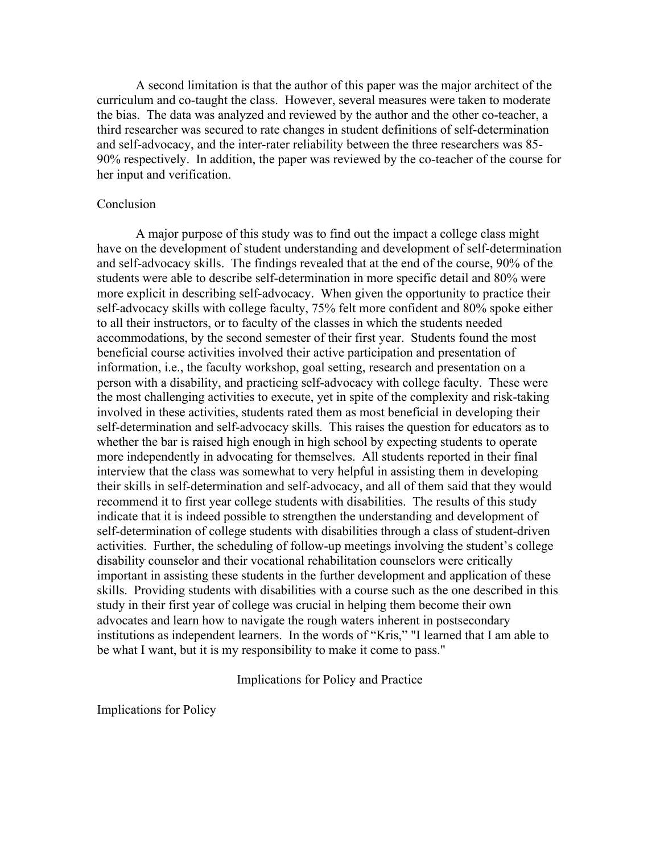A second limitation is that the author of this paper was the major architect of the curriculum and co-taught the class. However, several measures were taken to moderate the bias. The data was analyzed and reviewed by the author and the other co-teacher, a third researcher was secured to rate changes in student definitions of self-determination and self-advocacy, and the inter-rater reliability between the three researchers was 85- 90% respectively. In addition, the paper was reviewed by the co-teacher of the course for her input and verification.

## Conclusion

A major purpose of this study was to find out the impact a college class might have on the development of student understanding and development of self-determination and self-advocacy skills. The findings revealed that at the end of the course, 90% of the students were able to describe self-determination in more specific detail and 80% were more explicit in describing self-advocacy. When given the opportunity to practice their self-advocacy skills with college faculty, 75% felt more confident and 80% spoke either to all their instructors, or to faculty of the classes in which the students needed accommodations, by the second semester of their first year. Students found the most beneficial course activities involved their active participation and presentation of information, i.e., the faculty workshop, goal setting, research and presentation on a person with a disability, and practicing self-advocacy with college faculty. These were the most challenging activities to execute, yet in spite of the complexity and risk-taking involved in these activities, students rated them as most beneficial in developing their self-determination and self-advocacy skills. This raises the question for educators as to whether the bar is raised high enough in high school by expecting students to operate more independently in advocating for themselves. All students reported in their final interview that the class was somewhat to very helpful in assisting them in developing their skills in self-determination and self-advocacy, and all of them said that they would recommend it to first year college students with disabilities. The results of this study indicate that it is indeed possible to strengthen the understanding and development of self-determination of college students with disabilities through a class of student-driven activities. Further, the scheduling of follow-up meetings involving the student's college disability counselor and their vocational rehabilitation counselors were critically important in assisting these students in the further development and application of these skills. Providing students with disabilities with a course such as the one described in this study in their first year of college was crucial in helping them become their own advocates and learn how to navigate the rough waters inherent in postsecondary institutions as independent learners. In the words of "Kris," "I learned that I am able to be what I want, but it is my responsibility to make it come to pass."

## Implications for Policy and Practice

Implications for Policy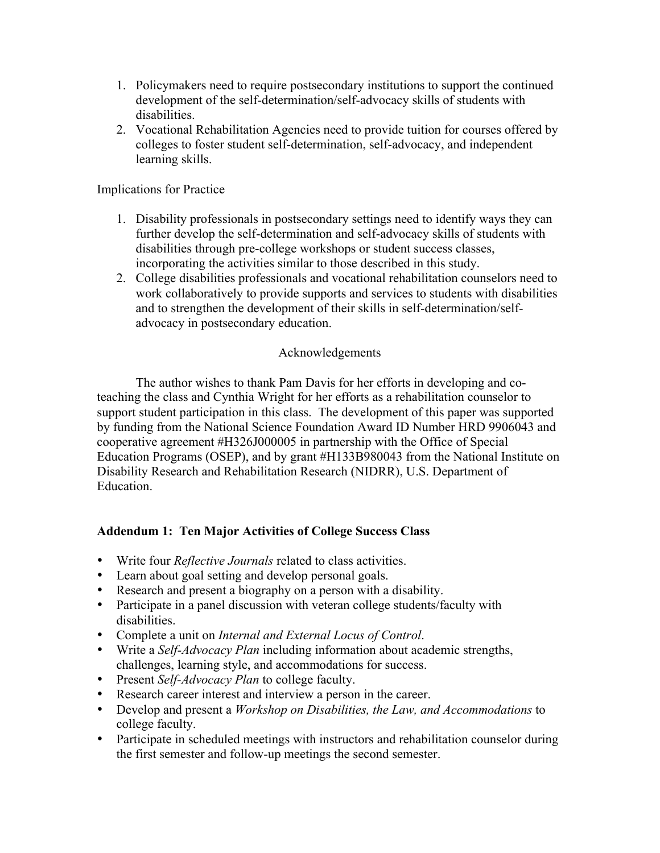- 1. Policymakers need to require postsecondary institutions to support the continued development of the self-determination/self-advocacy skills of students with disabilities.
- 2. Vocational Rehabilitation Agencies need to provide tuition for courses offered by colleges to foster student self-determination, self-advocacy, and independent learning skills.

Implications for Practice

- 1. Disability professionals in postsecondary settings need to identify ways they can further develop the self-determination and self-advocacy skills of students with disabilities through pre-college workshops or student success classes, incorporating the activities similar to those described in this study.
- 2. College disabilities professionals and vocational rehabilitation counselors need to work collaboratively to provide supports and services to students with disabilities and to strengthen the development of their skills in self-determination/selfadvocacy in postsecondary education.

## Acknowledgements

The author wishes to thank Pam Davis for her efforts in developing and coteaching the class and Cynthia Wright for her efforts as a rehabilitation counselor to support student participation in this class. The development of this paper was supported by funding from the National Science Foundation Award ID Number HRD 9906043 and cooperative agreement #H326J000005 in partnership with the Office of Special Education Programs (OSEP), and by grant #H133B980043 from the National Institute on Disability Research and Rehabilitation Research (NIDRR), U.S. Department of Education.

# **Addendum 1: Ten Major Activities of College Success Class**

- Write four *Reflective Journals* related to class activities.
- Learn about goal setting and develop personal goals.
- Research and present a biography on a person with a disability.
- Participate in a panel discussion with veteran college students/faculty with disabilities.
- Complete a unit on *Internal and External Locus of Control*.
- Write a *Self-Advocacy Plan* including information about academic strengths, challenges, learning style, and accommodations for success.
- Present *Self-Advocacy Plan* to college faculty.
- Research career interest and interview a person in the career.
- Develop and present a *Workshop on Disabilities, the Law, and Accommodations* to college faculty.
- Participate in scheduled meetings with instructors and rehabilitation counselor during the first semester and follow-up meetings the second semester.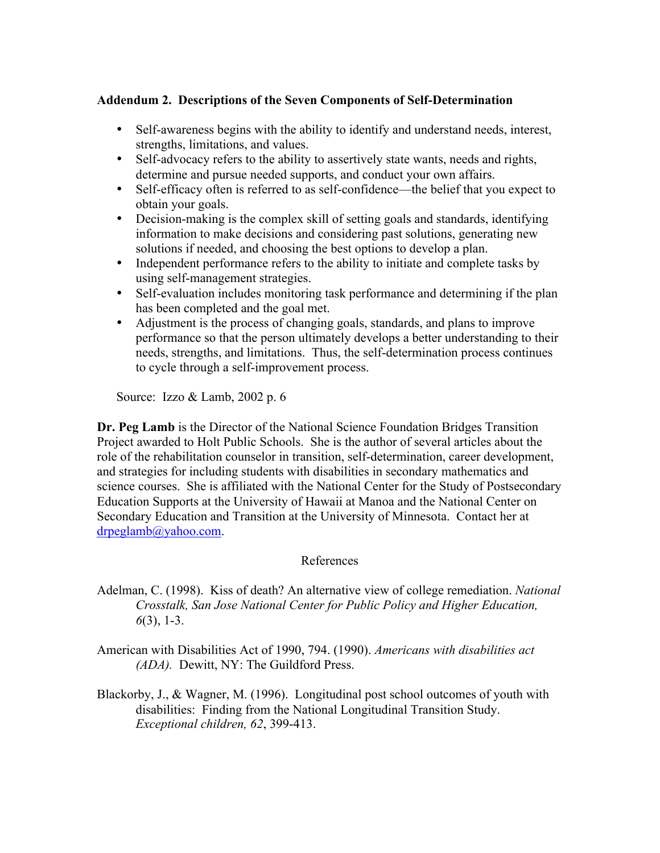# **Addendum 2. Descriptions of the Seven Components of Self-Determination**

- Self-awareness begins with the ability to identify and understand needs, interest, strengths, limitations, and values.
- Self-advocacy refers to the ability to assertively state wants, needs and rights, determine and pursue needed supports, and conduct your own affairs.
- Self-efficacy often is referred to as self-confidence—the belief that you expect to obtain your goals.
- Decision-making is the complex skill of setting goals and standards, identifying information to make decisions and considering past solutions, generating new solutions if needed, and choosing the best options to develop a plan.
- Independent performance refers to the ability to initiate and complete tasks by using self-management strategies.
- Self-evaluation includes monitoring task performance and determining if the plan has been completed and the goal met.
- Adjustment is the process of changing goals, standards, and plans to improve performance so that the person ultimately develops a better understanding to their needs, strengths, and limitations. Thus, the self-determination process continues to cycle through a self-improvement process.

Source: Izzo & Lamb, 2002 p. 6

**Dr. Peg Lamb** is the Director of the National Science Foundation Bridges Transition Project awarded to Holt Public Schools. She is the author of several articles about the role of the rehabilitation counselor in transition, self-determination, career development, and strategies for including students with disabilities in secondary mathematics and science courses. She is affiliated with the National Center for the Study of Postsecondary Education Supports at the University of Hawaii at Manoa and the National Center on Secondary Education and Transition at the University of Minnesota. Contact her at drpeglamb@yahoo.com.

## References

- Adelman, C. (1998). Kiss of death? An alternative view of college remediation. *National Crosstalk, San Jose National Center for Public Policy and Higher Education, 6*(3), 1-3.
- American with Disabilities Act of 1990, 794. (1990). *Americans with disabilities act (ADA).* Dewitt, NY: The Guildford Press.
- Blackorby, J., & Wagner, M. (1996). Longitudinal post school outcomes of youth with disabilities: Finding from the National Longitudinal Transition Study. *Exceptional children, 62*, 399-413.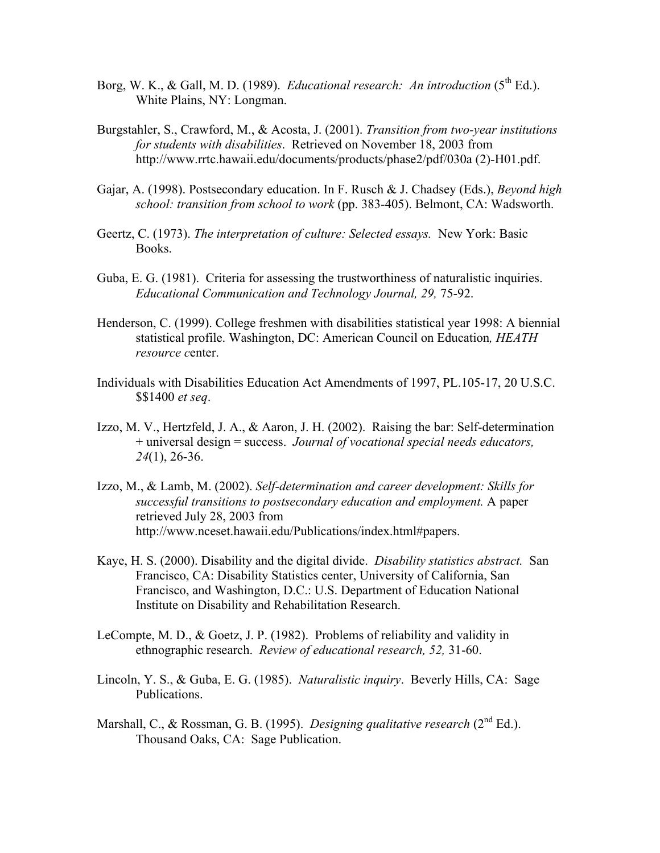- Borg, W. K., & Gall, M. D. (1989). *Educational research: An introduction* (5<sup>th</sup> Ed.). White Plains, NY: Longman.
- Burgstahler, S., Crawford, M., & Acosta, J. (2001). *Transition from two-year institutions for students with disabilities*. Retrieved on November 18, 2003 from http://www.rrtc.hawaii.edu/documents/products/phase2/pdf/030a (2)-H01.pdf.
- Gajar, A. (1998). Postsecondary education. In F. Rusch & J. Chadsey (Eds.), *Beyond high school: transition from school to work* (pp. 383-405). Belmont, CA: Wadsworth.
- Geertz, C. (1973). *The interpretation of culture: Selected essays.* New York: Basic Books.
- Guba, E. G. (1981). Criteria for assessing the trustworthiness of naturalistic inquiries. *Educational Communication and Technology Journal, 29,* 75-92.
- Henderson, C. (1999). College freshmen with disabilities statistical year 1998: A biennial statistical profile. Washington, DC: American Council on Education*, HEATH resource c*enter.
- Individuals with Disabilities Education Act Amendments of 1997, PL.105-17, 20 U.S.C. \$\$1400 *et seq*.
- Izzo, M. V., Hertzfeld, J. A., & Aaron, J. H. (2002). Raising the bar: Self-determination + universal design = success. *Journal of vocational special needs educators, 24*(1), 26-36.
- Izzo, M., & Lamb, M. (2002). *Self-determination and career development: Skills for successful transitions to postsecondary education and employment.* A paper retrieved July 28, 2003 from http://www.nceset.hawaii.edu/Publications/index.html#papers.
- Kaye, H. S. (2000). Disability and the digital divide. *Disability statistics abstract.* San Francisco, CA: Disability Statistics center, University of California, San Francisco, and Washington, D.C.: U.S. Department of Education National Institute on Disability and Rehabilitation Research.
- LeCompte, M. D., & Goetz, J. P. (1982). Problems of reliability and validity in ethnographic research. *Review of educational research, 52,* 31-60.
- Lincoln, Y. S., & Guba, E. G. (1985). *Naturalistic inquiry*. Beverly Hills, CA: Sage Publications.
- Marshall, C., & Rossman, G. B. (1995). *Designing qualitative research* (2<sup>nd</sup> Ed.). Thousand Oaks, CA: Sage Publication.